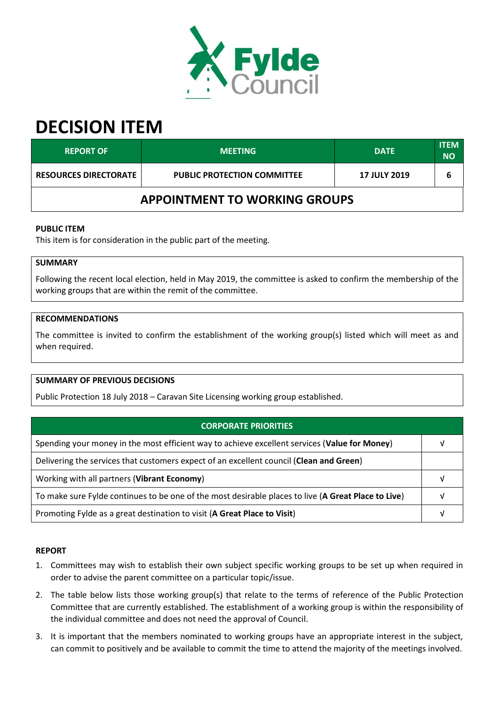

# **DECISION ITEM**

| <b>REPORT OF</b>                     | <b>MEETING</b>                     | <b>DATE</b>         | <b>ITEM</b><br><b>NO</b> |
|--------------------------------------|------------------------------------|---------------------|--------------------------|
| <b>RESOURCES DIRECTORATE</b>         | <b>PUBLIC PROTECTION COMMITTEE</b> | <b>17 JULY 2019</b> |                          |
| <b>APPOINTMENT TO WORKING GROUPS</b> |                                    |                     |                          |

## **PUBLIC ITEM**

This item is for consideration in the public part of the meeting.

## **SUMMARY**

Following the recent local election, held in May 2019, the committee is asked to confirm the membership of the working groups that are within the remit of the committee.

#### **RECOMMENDATIONS**

The committee is invited to confirm the establishment of the working group(s) listed which will meet as and when required.

#### **SUMMARY OF PREVIOUS DECISIONS**

Public Protection 18 July 2018 – Caravan Site Licensing working group established.

| <b>CORPORATE PRIORITIES</b>                                                                         |  |
|-----------------------------------------------------------------------------------------------------|--|
| Spending your money in the most efficient way to achieve excellent services (Value for Money)       |  |
| Delivering the services that customers expect of an excellent council (Clean and Green)             |  |
| Working with all partners (Vibrant Economy)                                                         |  |
| To make sure Fylde continues to be one of the most desirable places to live (A Great Place to Live) |  |
| Promoting Fylde as a great destination to visit (A Great Place to Visit)                            |  |

#### **REPORT**

- 1. Committees may wish to establish their own subject specific working groups to be set up when required in order to advise the parent committee on a particular topic/issue.
- 2. The table below lists those working group(s) that relate to the terms of reference of the Public Protection Committee that are currently established. The establishment of a working group is within the responsibility of the individual committee and does not need the approval of Council.
- 3. It is important that the members nominated to working groups have an appropriate interest in the subject, can commit to positively and be available to commit the time to attend the majority of the meetings involved.